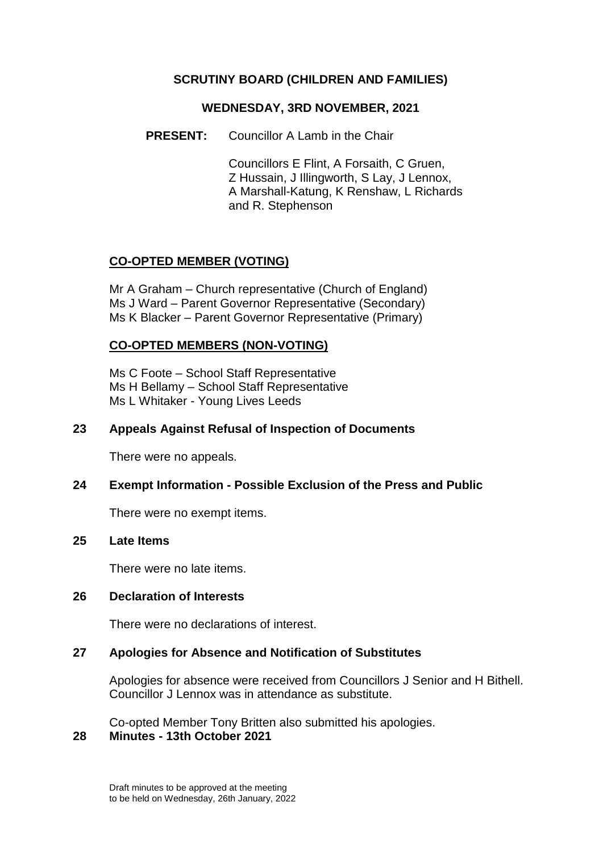### **SCRUTINY BOARD (CHILDREN AND FAMILIES)**

#### **WEDNESDAY, 3RD NOVEMBER, 2021**

**PRESENT:** Councillor A Lamb in the Chair

Councillors E Flint, A Forsaith, C Gruen, Z Hussain, J Illingworth, S Lay, J Lennox, A Marshall-Katung, K Renshaw, L Richards and R. Stephenson

## **CO-OPTED MEMBER (VOTING)**

Mr A Graham – Church representative (Church of England) Ms J Ward – Parent Governor Representative (Secondary) Ms K Blacker – Parent Governor Representative (Primary)

### **CO-OPTED MEMBERS (NON-VOTING)**

Ms C Foote – School Staff Representative Ms H Bellamy – School Staff Representative Ms L Whitaker - Young Lives Leeds

### **23 Appeals Against Refusal of Inspection of Documents**

There were no appeals.

#### **24 Exempt Information - Possible Exclusion of the Press and Public**

There were no exempt items.

#### **25 Late Items**

There were no late items.

#### **26 Declaration of Interests**

There were no declarations of interest.

#### **27 Apologies for Absence and Notification of Substitutes**

Apologies for absence were received from Councillors J Senior and H Bithell. Councillor J Lennox was in attendance as substitute.

Co-opted Member Tony Britten also submitted his apologies. **28 Minutes - 13th October 2021**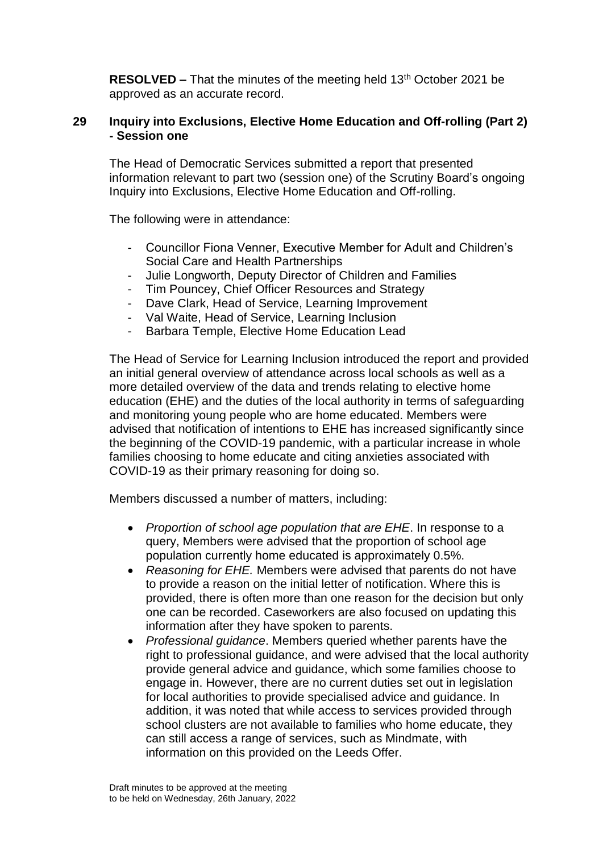**RESOLVED –** That the minutes of the meeting held 13<sup>th</sup> October 2021 be approved as an accurate record.

### **29 Inquiry into Exclusions, Elective Home Education and Off-rolling (Part 2) - Session one**

The Head of Democratic Services submitted a report that presented information relevant to part two (session one) of the Scrutiny Board's ongoing Inquiry into Exclusions, Elective Home Education and Off-rolling.

The following were in attendance:

- Councillor Fiona Venner, Executive Member for Adult and Children's Social Care and Health Partnerships
- Julie Longworth, Deputy Director of Children and Families
- Tim Pouncey, Chief Officer Resources and Strategy
- Dave Clark, Head of Service, Learning Improvement
- Val Waite, Head of Service, Learning Inclusion
- Barbara Temple, Elective Home Education Lead

The Head of Service for Learning Inclusion introduced the report and provided an initial general overview of attendance across local schools as well as a more detailed overview of the data and trends relating to elective home education (EHE) and the duties of the local authority in terms of safeguarding and monitoring young people who are home educated. Members were advised that notification of intentions to EHE has increased significantly since the beginning of the COVID-19 pandemic, with a particular increase in whole families choosing to home educate and citing anxieties associated with COVID-19 as their primary reasoning for doing so.

Members discussed a number of matters, including:

- *Proportion of school age population that are EHE*. In response to a query, Members were advised that the proportion of school age population currently home educated is approximately 0.5%.
- *Reasoning for EHE.* Members were advised that parents do not have to provide a reason on the initial letter of notification. Where this is provided, there is often more than one reason for the decision but only one can be recorded. Caseworkers are also focused on updating this information after they have spoken to parents.
- *Professional guidance*. Members queried whether parents have the right to professional guidance, and were advised that the local authority provide general advice and guidance, which some families choose to engage in. However, there are no current duties set out in legislation for local authorities to provide specialised advice and guidance. In addition, it was noted that while access to services provided through school clusters are not available to families who home educate, they can still access a range of services, such as Mindmate, with information on this provided on the Leeds Offer.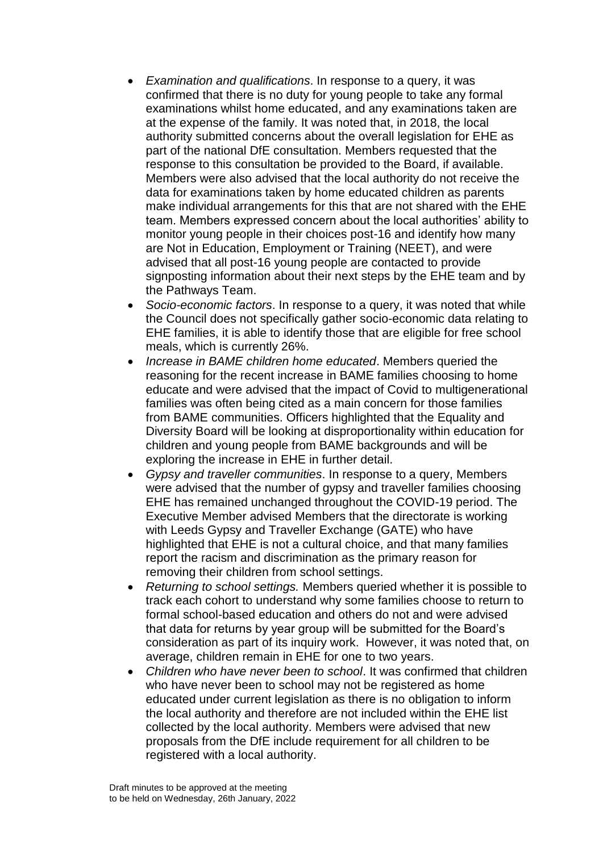- *Examination and qualifications*. In response to a query, it was confirmed that there is no duty for young people to take any formal examinations whilst home educated, and any examinations taken are at the expense of the family. It was noted that, in 2018, the local authority submitted concerns about the overall legislation for EHE as part of the national DfE consultation. Members requested that the response to this consultation be provided to the Board, if available. Members were also advised that the local authority do not receive the data for examinations taken by home educated children as parents make individual arrangements for this that are not shared with the EHE team. Members expressed concern about the local authorities' ability to monitor young people in their choices post-16 and identify how many are Not in Education, Employment or Training (NEET), and were advised that all post-16 young people are contacted to provide signposting information about their next steps by the EHE team and by the Pathways Team.
- *Socio-economic factors*. In response to a query, it was noted that while the Council does not specifically gather socio-economic data relating to EHE families, it is able to identify those that are eligible for free school meals, which is currently 26%.
- *Increase in BAME children home educated*. Members queried the reasoning for the recent increase in BAME families choosing to home educate and were advised that the impact of Covid to multigenerational families was often being cited as a main concern for those families from BAME communities. Officers highlighted that the Equality and Diversity Board will be looking at disproportionality within education for children and young people from BAME backgrounds and will be exploring the increase in EHE in further detail.
- *Gypsy and traveller communities*. In response to a query, Members were advised that the number of gypsy and traveller families choosing EHE has remained unchanged throughout the COVID-19 period. The Executive Member advised Members that the directorate is working with Leeds Gypsy and Traveller Exchange (GATE) who have highlighted that EHE is not a cultural choice, and that many families report the racism and discrimination as the primary reason for removing their children from school settings.
- *Returning to school settings.* Members queried whether it is possible to track each cohort to understand why some families choose to return to formal school-based education and others do not and were advised that data for returns by year group will be submitted for the Board's consideration as part of its inquiry work. However, it was noted that, on average, children remain in EHE for one to two years.
- *Children who have never been to school*. It was confirmed that children who have never been to school may not be registered as home educated under current legislation as there is no obligation to inform the local authority and therefore are not included within the EHE list collected by the local authority. Members were advised that new proposals from the DfE include requirement for all children to be registered with a local authority.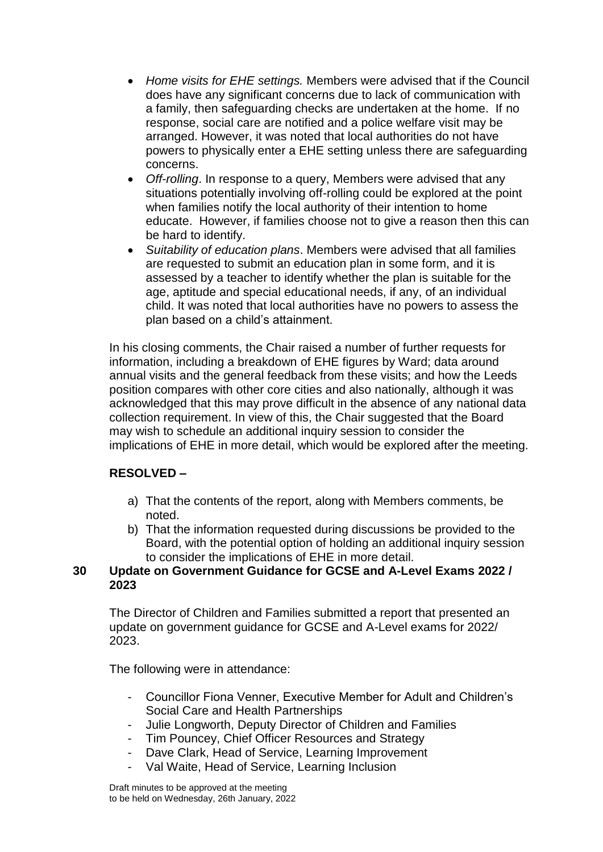- *Home visits for EHE settings.* Members were advised that if the Council does have any significant concerns due to lack of communication with a family, then safeguarding checks are undertaken at the home. If no response, social care are notified and a police welfare visit may be arranged. However, it was noted that local authorities do not have powers to physically enter a EHE setting unless there are safeguarding concerns.
- *Off-rolling*. In response to a query, Members were advised that any situations potentially involving off-rolling could be explored at the point when families notify the local authority of their intention to home educate. However, if families choose not to give a reason then this can be hard to identify.
- *Suitability of education plans*. Members were advised that all families are requested to submit an education plan in some form, and it is assessed by a teacher to identify whether the plan is suitable for the age, aptitude and special educational needs, if any, of an individual child. It was noted that local authorities have no powers to assess the plan based on a child's attainment.

In his closing comments, the Chair raised a number of further requests for information, including a breakdown of EHE figures by Ward; data around annual visits and the general feedback from these visits; and how the Leeds position compares with other core cities and also nationally, although it was acknowledged that this may prove difficult in the absence of any national data collection requirement. In view of this, the Chair suggested that the Board may wish to schedule an additional inquiry session to consider the implications of EHE in more detail, which would be explored after the meeting.

# **RESOLVED –**

- a) That the contents of the report, along with Members comments, be noted.
- b) That the information requested during discussions be provided to the Board, with the potential option of holding an additional inquiry session to consider the implications of EHE in more detail.

### **30 Update on Government Guidance for GCSE and A-Level Exams 2022 / 2023**

The Director of Children and Families submitted a report that presented an update on government guidance for GCSE and A-Level exams for 2022/ 2023.

The following were in attendance:

- Councillor Fiona Venner, Executive Member for Adult and Children's Social Care and Health Partnerships
- Julie Longworth, Deputy Director of Children and Families
- Tim Pouncey, Chief Officer Resources and Strategy
- Dave Clark, Head of Service, Learning Improvement
- Val Waite, Head of Service, Learning Inclusion

Draft minutes to be approved at the meeting to be held on Wednesday, 26th January, 2022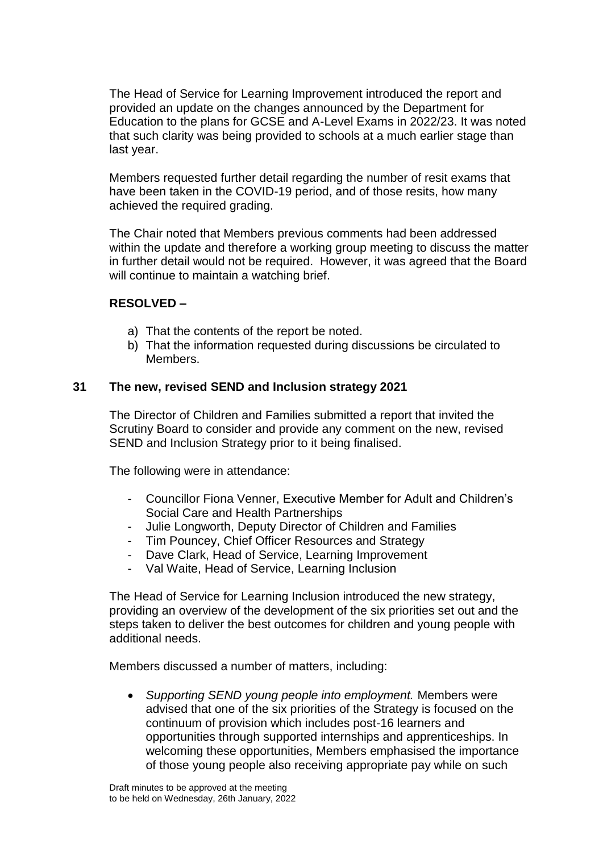The Head of Service for Learning Improvement introduced the report and provided an update on the changes announced by the Department for Education to the plans for GCSE and A-Level Exams in 2022/23. It was noted that such clarity was being provided to schools at a much earlier stage than last year.

Members requested further detail regarding the number of resit exams that have been taken in the COVID-19 period, and of those resits, how many achieved the required grading.

The Chair noted that Members previous comments had been addressed within the update and therefore a working group meeting to discuss the matter in further detail would not be required. However, it was agreed that the Board will continue to maintain a watching brief.

### **RESOLVED –**

- a) That the contents of the report be noted.
- b) That the information requested during discussions be circulated to Members.

#### **31 The new, revised SEND and Inclusion strategy 2021**

The Director of Children and Families submitted a report that invited the Scrutiny Board to consider and provide any comment on the new, revised SEND and Inclusion Strategy prior to it being finalised.

The following were in attendance:

- Councillor Fiona Venner, Executive Member for Adult and Children's Social Care and Health Partnerships
- Julie Longworth, Deputy Director of Children and Families
- Tim Pouncey, Chief Officer Resources and Strategy
- Dave Clark, Head of Service, Learning Improvement
- Val Waite, Head of Service, Learning Inclusion

The Head of Service for Learning Inclusion introduced the new strategy, providing an overview of the development of the six priorities set out and the steps taken to deliver the best outcomes for children and young people with additional needs.

Members discussed a number of matters, including:

 *Supporting SEND young people into employment.* Members were advised that one of the six priorities of the Strategy is focused on the continuum of provision which includes post-16 learners and opportunities through supported internships and apprenticeships. In welcoming these opportunities, Members emphasised the importance of those young people also receiving appropriate pay while on such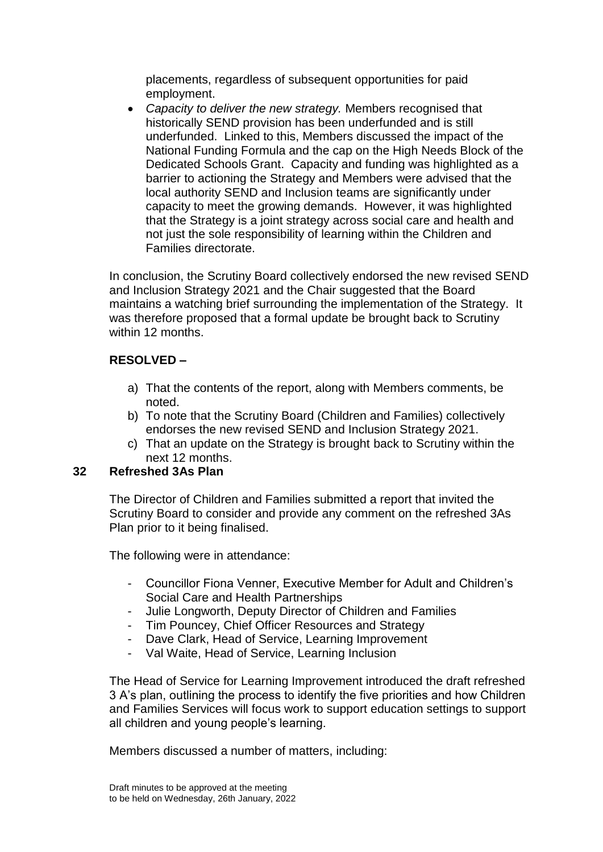placements, regardless of subsequent opportunities for paid employment.

 *Capacity to deliver the new strategy.* Members recognised that historically SEND provision has been underfunded and is still underfunded. Linked to this, Members discussed the impact of the National Funding Formula and the cap on the High Needs Block of the Dedicated Schools Grant. Capacity and funding was highlighted as a barrier to actioning the Strategy and Members were advised that the local authority SEND and Inclusion teams are significantly under capacity to meet the growing demands. However, it was highlighted that the Strategy is a joint strategy across social care and health and not just the sole responsibility of learning within the Children and Families directorate.

In conclusion, the Scrutiny Board collectively endorsed the new revised SEND and Inclusion Strategy 2021 and the Chair suggested that the Board maintains a watching brief surrounding the implementation of the Strategy. It was therefore proposed that a formal update be brought back to Scrutiny within 12 months.

## **RESOLVED –**

- a) That the contents of the report, along with Members comments, be noted.
- b) To note that the Scrutiny Board (Children and Families) collectively endorses the new revised SEND and Inclusion Strategy 2021.
- c) That an update on the Strategy is brought back to Scrutiny within the next 12 months.

# **32 Refreshed 3As Plan**

The Director of Children and Families submitted a report that invited the Scrutiny Board to consider and provide any comment on the refreshed 3As Plan prior to it being finalised.

The following were in attendance:

- Councillor Fiona Venner, Executive Member for Adult and Children's Social Care and Health Partnerships
- Julie Longworth, Deputy Director of Children and Families
- Tim Pouncey, Chief Officer Resources and Strategy
- Dave Clark, Head of Service, Learning Improvement
- Val Waite, Head of Service, Learning Inclusion

The Head of Service for Learning Improvement introduced the draft refreshed 3 A's plan, outlining the process to identify the five priorities and how Children and Families Services will focus work to support education settings to support all children and young people's learning.

Members discussed a number of matters, including: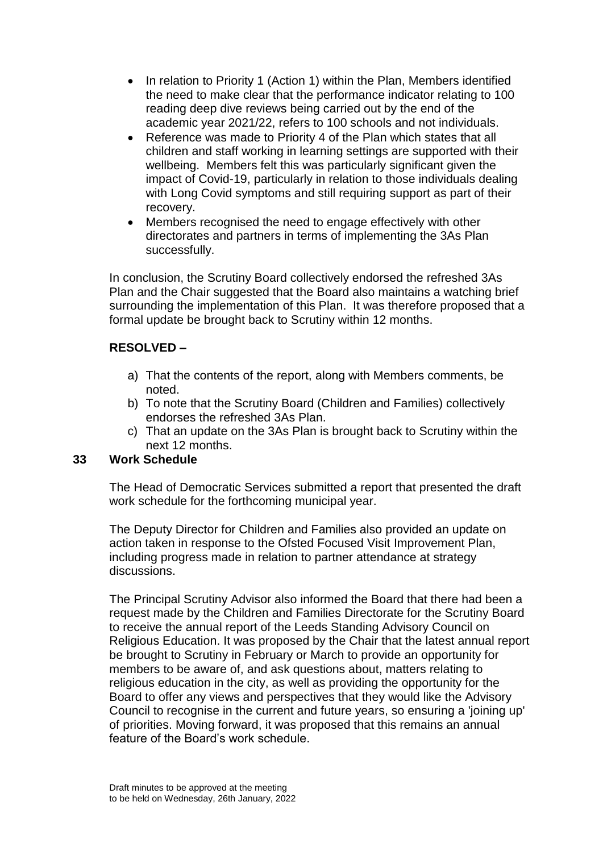- In relation to Priority 1 (Action 1) within the Plan, Members identified the need to make clear that the performance indicator relating to 100 reading deep dive reviews being carried out by the end of the academic year 2021/22, refers to 100 schools and not individuals.
- Reference was made to Priority 4 of the Plan which states that all children and staff working in learning settings are supported with their wellbeing. Members felt this was particularly significant given the impact of Covid-19, particularly in relation to those individuals dealing with Long Covid symptoms and still requiring support as part of their recovery.
- Members recognised the need to engage effectively with other directorates and partners in terms of implementing the 3As Plan successfully.

In conclusion, the Scrutiny Board collectively endorsed the refreshed 3As Plan and the Chair suggested that the Board also maintains a watching brief surrounding the implementation of this Plan. It was therefore proposed that a formal update be brought back to Scrutiny within 12 months.

# **RESOLVED –**

- a) That the contents of the report, along with Members comments, be noted.
- b) To note that the Scrutiny Board (Children and Families) collectively endorses the refreshed 3As Plan.
- c) That an update on the 3As Plan is brought back to Scrutiny within the next 12 months.

# **33 Work Schedule**

The Head of Democratic Services submitted a report that presented the draft work schedule for the forthcoming municipal year.

The Deputy Director for Children and Families also provided an update on action taken in response to the Ofsted Focused Visit Improvement Plan, including progress made in relation to partner attendance at strategy discussions.

The Principal Scrutiny Advisor also informed the Board that there had been a request made by the Children and Families Directorate for the Scrutiny Board to receive the annual report of the Leeds Standing Advisory Council on Religious Education. It was proposed by the Chair that the latest annual report be brought to Scrutiny in February or March to provide an opportunity for members to be aware of, and ask questions about, matters relating to religious education in the city, as well as providing the opportunity for the Board to offer any views and perspectives that they would like the Advisory Council to recognise in the current and future years, so ensuring a 'joining up' of priorities. Moving forward, it was proposed that this remains an annual feature of the Board's work schedule.